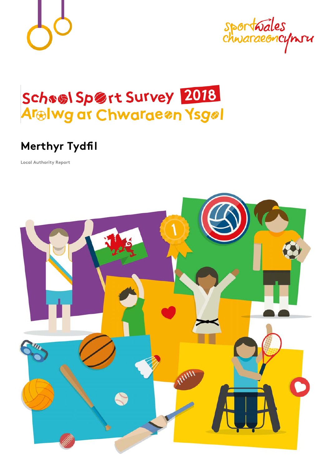

sportwales<br>chwaraeoncymru

# School Sport Survey 2018 Arelwg ar Chwaraeon Ysgol

# **Merthyr Tydfil**

**Local Authority Report**

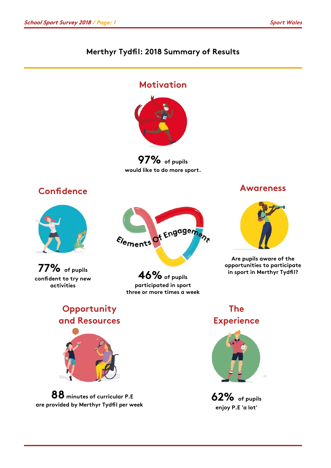### **Merthyr Tydfil: 2018 Summary of Results**

### **Motivation**



**97% of pupils would like to do more sport.**

### **Confidence**







**46% of pupils participated in sport three or more times a week** 

#### **Awareness**



**Are pupils aware of the opportunities to participate in sport in Merthyr Tydfil?**

### **Opportunity and Resources**



**88 minutes of curricular P.E are provided by Merthyr Tydfil per week**

### **The Experience**



**62% of pupils enjoy P.E 'a lot'**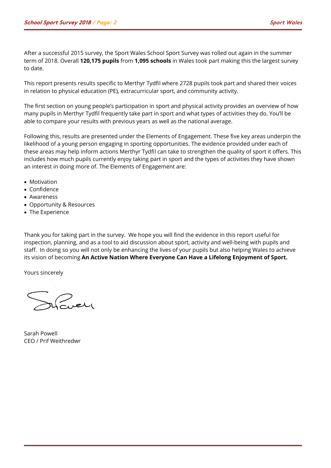After a successful 2015 survey, the Sport Wales School Sport Survey was rolled out again in the summer term of 2018. Overall **120,175 pupils** from **1,095 schools** in Wales took part making this the largest survey to date.

This report presents results specific to Merthyr Tydfil where 2728 pupils took part and shared their voices in relation to physical education (PE), extracurricular sport, and community activity.

The first section on young people's participation in sport and physical activity provides an overview of how many pupils in Merthyr Tydfil frequently take part in sport and what types of activities they do. You'll be able to compare your results with previous years as well as the national average.

Following this, results are presented under the Elements of Engagement. These five key areas underpin the likelihood of a young person engaging in sporting opportunities. The evidence provided under each of these areas may help inform actions Merthyr Tydfil can take to strengthen the quality of sport it offers. This includes how much pupils currently enjoy taking part in sport and the types of activities they have shown an interest in doing more of. The Elements of Engagement are:

- Motivation
- Confidence
- Awareness
- Opportunity & Resources
- The Experience

Thank you for taking part in the survey. We hope you will find the evidence in this report useful for inspection, planning, and as a tool to aid discussion about sport, activity and well-being with pupils and staff. In doing so you will not only be enhancing the lives of your pupils but also helping Wales to achieve its vision of becoming **An Active Nation Where Everyone Can Have a Lifelong Enjoyment of Sport.**

Yours sincerely

 $\bigcap_{n\in\mathbb{N}}$ 

Sarah Powell CEO / Prif Weithredwr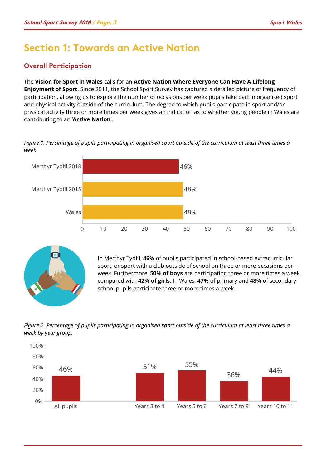### **Section 1: Towards an Active Nation**

#### **Overall Participation**

#### The **Vision for Sport in Wales** calls for an **Active Nation Where Everyone Can Have A Lifelong**

**Enjoyment of Sport**. Since 2011, the School Sport Survey has captured a detailed picture of frequency of participation, allowing us to explore the number of occasions per week pupils take part in organised sport and physical activity outside of the curriculum. The degree to which pupils participate in sport and/or physical activity three or more times per week gives an indication as to whether young people in Wales are contributing to an '**Active Nation**'.

*Figure 1. Percentage of pupils participating in organised sport outside of the curriculum at least three times a week.*





In Merthyr Tydfil, **46%** of pupils participated in school-based extracurricular sport, or sport with a club outside of school on three or more occasions per week. Furthermore, **50% of boys** are participating three or more times a week, compared with **42% of girls**. In Wales, **47%** of primary and **48%** of secondary school pupils participate three or more times a week.

*Figure 2. Percentage of pupils participating in organised sport outside of the curriculum at least three times a week by year group.*

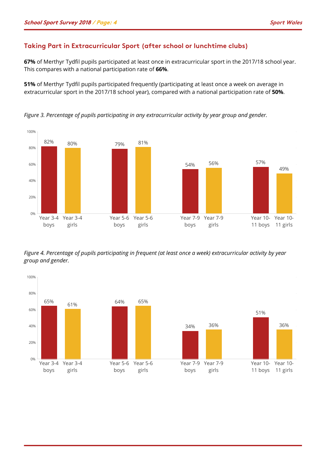#### **Taking Part in Extracurricular Sport (after school or lunchtime clubs)**

**67%** of Merthyr Tydfil pupils participated at least once in extracurricular sport in the 2017/18 school year. This compares with a national participation rate of **66%**.

**51%** of Merthyr Tydfil pupils participated frequently (participating at least once a week on average in extracurricular sport in the 2017/18 school year), compared with a national participation rate of **50%**.

*Figure 3. Percentage of pupils participating in any extracurricular activity by year group and gender.*



*Figure 4. Percentage of pupils participating in frequent (at least once a week) extracurricular activity by year group and gender.*

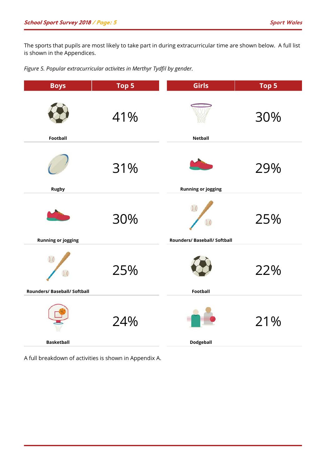The sports that pupils are most likely to take part in during extracurricular time are shown below. A full list is shown in the Appendices.

*Figure 5. Popular extracurricular activites in Merthyr Tydfil by gender.*

| <b>Boys</b>                  | Top 5 | Girls                                           | Top 5 |
|------------------------------|-------|-------------------------------------------------|-------|
| Football                     | 41%   | <b>Netball</b>                                  | 30%   |
| <b>Rugby</b>                 | 31%   | <b>Running or jogging</b>                       | 29%   |
| <b>Running or jogging</b>    | 30%   | $\overline{)0}$<br>Rounders/ Baseball/ Softball | 25%   |
| Rounders/ Baseball/ Softball | 25%   | Football                                        | 22%   |
| <b>Basketball</b>            | 24%   | <b>Dodgeball</b>                                | 21%   |

A full breakdown of activities is shown in Appendix A.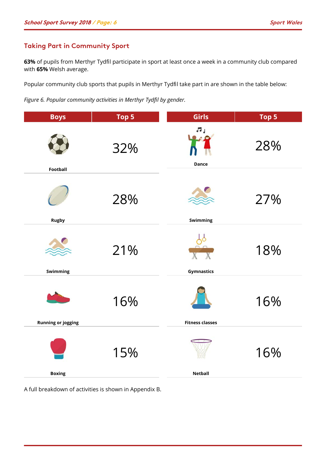#### **Taking Part in Community Sport**

**63%** of pupils from Merthyr Tydfil participate in sport at least once a week in a community club compared with **65%** Welsh average.

Popular community club sports that pupils in Merthyr Tydfil take part in are shown in the table below:

*Figure 6. Popular community activities in Merthyr Tydfil by gender.*

| <b>Boys</b>               | Top 5 | Girls                                      | Top 5 |
|---------------------------|-------|--------------------------------------------|-------|
| Football                  | 32%   | $\overline{\mathcal{M}}$ ,<br><b>Dance</b> | 28%   |
| <b>Rugby</b>              | 28%   | Swimming                                   | 27%   |
| Swimming                  | 21%   | $\frac{1}{x}$<br><b>Gymnastics</b>         | 18%   |
| <b>Running or jogging</b> | 16%   | <b>Fitness classes</b>                     | 16%   |
| <b>Boxing</b>             | 15%   | <b>Netball</b>                             | 16%   |

A full breakdown of activities is shown in Appendix B.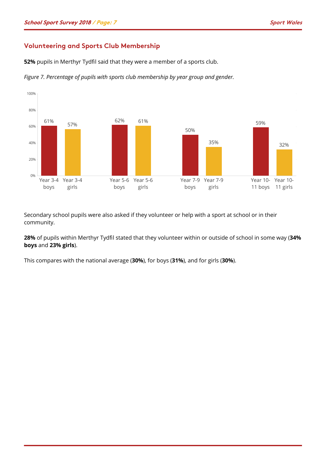#### **Volunteering and Sports Club Membership**

**52%** pupils in Merthyr Tydfil said that they were a member of a sports club.



*Figure 7. Percentage of pupils with sports club membership by year group and gender.*

Secondary school pupils were also asked if they volunteer or help with a sport at school or in their community.

**28%** of pupils within Merthyr Tydfil stated that they volunteer within or outside of school in some way (**34% boys** and **23% girls**).

This compares with the national average (**30%**), for boys (**31%**), and for girls (**30%**).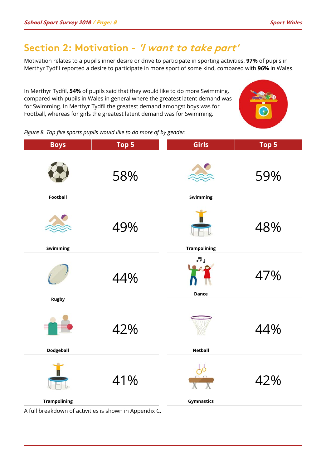### **Section 2: Motivation - 'I want to take part'**

Motivation relates to a pupil's inner desire or drive to participate in sporting activities. **97%** of pupils in Merthyr Tydfil reported a desire to participate in more sport of some kind, compared with **96%** in Wales.

In Merthyr Tydfil, **54%** of pupils said that they would like to do more Swimming, compared with pupils in Wales in general where the greatest latent demand was for Swimming. In Merthyr Tydfil the greatest demand amongst boys was for Football, whereas for girls the greatest latent demand was for Swimming.



*Figure 8. Top five sports pupils would like to do more of by gender.*

| <b>Boys</b>         | Top 5 | Girls               | Top 5 |
|---------------------|-------|---------------------|-------|
| Football            | 58%   | Swimming            | 59%   |
| Swimming            | 49%   | <b>Trampolining</b> | 48%   |
| <b>Rugby</b>        | 44%   | ЛJ<br><b>Dance</b>  | 47%   |
| <b>Dodgeball</b>    | 42%   | <b>Netball</b>      | 44%   |
| <b>Trampolining</b> | 41%   | Gymnastics          | 42%   |

A full breakdown of activities is shown in Appendix C.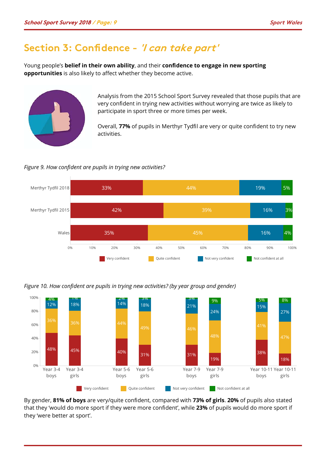### **Section 3: Confidence - 'I can take part'**

Young people's **belief in their own ability**, and their **confidence to engage in new sporting opportunities** is also likely to affect whether they become active.



Analysis from the 2015 School Sport Survey revealed that those pupils that are very confident in trying new activities without worrying are twice as likely to participate in sport three or more times per week.

Overall, **77%** of pupils in Merthyr Tydfil are very or quite confident to try new activities.

*Figure 9. How confident are pupils in trying new activities?*



*Figure 10. How confident are pupils in trying new activities? (by year group and gender)*



By gender, **81% of boys** are very/quite confident, compared with **73% of girls**. **20%** of pupils also stated that they 'would do more sport if they were more confident', while **23%** of pupils would do more sport if they 'were better at sport'.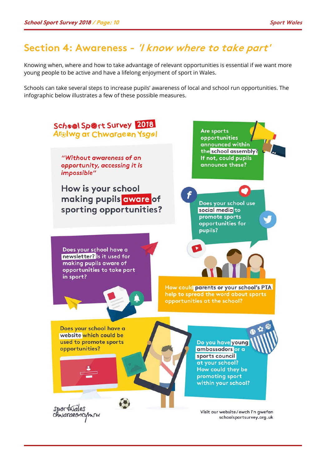## **Section 4: Awareness - 'I know where to take part'**

Knowing when, where and how to take advantage of relevant opportunities is essential if we want more young people to be active and have a lifelong enjoyment of sport in Wales.

Schools can take several steps to increase pupils' awareness of local and school run opportunities. The infographic below illustrates a few of these possible measures.

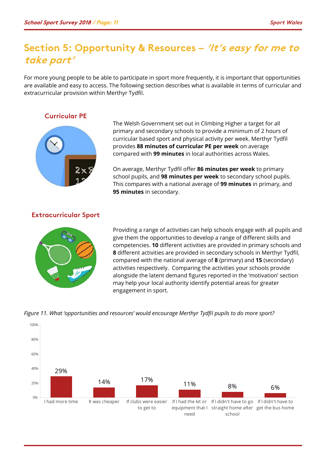### **Section 5: Opportunity & Resources – 'It's easy for me to take part'**

For more young people to be able to participate in sport more frequently, it is important that opportunities are available and easy to access. The following section describes what is available in terms of curricular and extracurricular provision within Merthyr Tydfil.

#### **Curricular PE**



The Welsh Government set out in Climbing Higher a target for all primary and secondary schools to provide a minimum of 2 hours of curricular based sport and physical activity per week. Merthyr Tydfil provides **88 minutes of curricular PE per week** on average compared with **99 minutes** in local authorities across Wales.

On average, Merthyr Tydfil offer **86 minutes per week** to primary school pupils, and **98 minutes per week** to secondary school pupils. This compares with a national average of **99 minutes** in primary, and **95 minutes** in secondary.

#### **Extracurricular Sport**



Providing a range of activities can help schools engage with all pupils and give them the opportunities to develop a range of different skills and competencies. **10** different activities are provided in primary schools and **8** different activities are provided in secondary schools in Merthyr Tydfil, compared with the national average of **8** (primary) and **15** (secondary) activities respectively. Comparing the activities your schools provide alongside the latent demand figures reported in the 'motivation' section may help your local authority identify potential areas for greater engagement in sport.



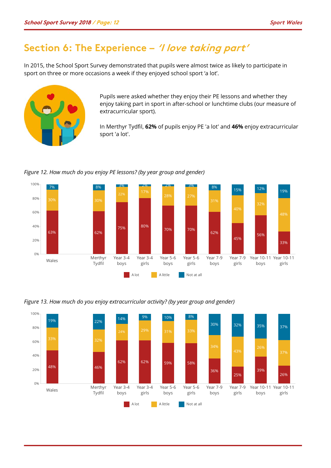### **Section 6: The Experience – 'I love taking part'**

In 2015, the School Sport Survey demonstrated that pupils were almost twice as likely to participate in sport on three or more occasions a week if they enjoyed school sport 'a lot'.



Pupils were asked whether they enjoy their PE lessons and whether they enjoy taking part in sport in after-school or lunchtime clubs (our measure of extracurricular sport).

In Merthyr Tydfil, **62%** of pupils enjoy PE 'a lot' and **46%** enjoy extracurricular sport 'a lot'.



#### *Figure 12. How much do you enjoy PE lessons? (by year group and gender)*



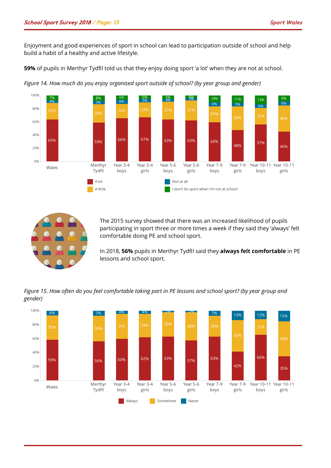Enjoyment and good experiences of sport in school can lead to participation outside of school and help build a habit of a healthy and active lifestyle.

**59%** of pupils in Merthyr Tydfil told us that they enjoy doing sport 'a lot' when they are not at school.



*Figure 14. How much do you enjoy organised sport outside of school? (by year group and gender)*



The 2015 survey showed that there was an increased likelihood of pupils participating in sport three or more times a week if they said they 'always' felt comfortable doing PE and school sport.

In 2018, **56%** pupils in Merthyr Tydfil said they **always felt comfortable** in PE lessons and school sport.

*Figure 15. How often do you feel comfortable taking part in PE lessons and school sport? (by year group and gender)*

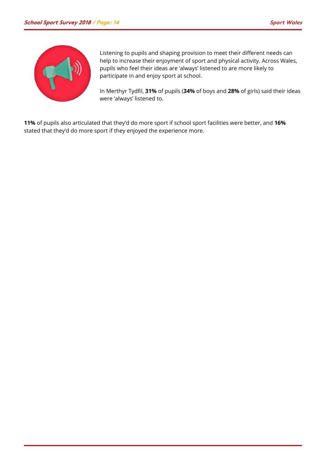

Listening to pupils and shaping provision to meet their different needs can help to increase their enjoyment of sport and physical activity. Across Wales, pupils who feel their ideas are 'always' listened to are more likely to participate in and enjoy sport at school.

In Merthyr Tydfil, **31%** of pupils (**34%** of boys and **28%** of girls) said their ideas were 'always' listened to.

**11%** of pupils also articulated that they'd do more sport if school sport facilities were better, and **16%** stated that they'd do more sport if they enjoyed the experience more.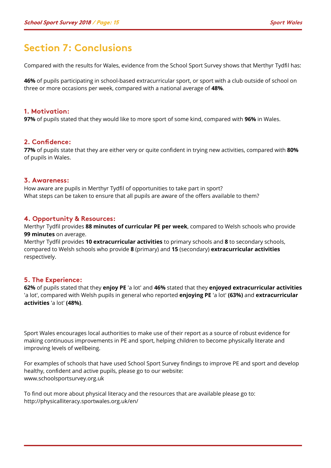### **Section 7: Conclusions**

Compared with the results for Wales, evidence from the School Sport Survey shows that Merthyr Tydfil has:

**46%** of pupils participating in school-based extracurricular sport, or sport with a club outside of school on three or more occasions per week, compared with a national average of **48%**.

#### **1. Motivation:**

**97%** of pupils stated that they would like to more sport of some kind, compared with **96%** in Wales.

#### **2. Confidence:**

**77%** of pupils state that they are either very or quite confident in trying new activities, compared with **80%** of pupils in Wales.

#### **3. Awareness:**

How aware are pupils in Merthyr Tydfil of opportunities to take part in sport? What steps can be taken to ensure that all pupils are aware of the offers available to them?

#### **4. Opportunity & Resources:**

Merthyr Tydfil provides **88 minutes of curricular PE per week**, compared to Welsh schools who provide **99 minutes** on average.

Merthyr Tydfil provides **10 extracurricular activities** to primary schools and **8** to secondary schools, compared to Welsh schools who provide **8** (primary) and **15** (secondary) **extracurricular activities** respectively.

#### **5. The Experience:**

**62%** of pupils stated that they **enjoy PE** 'a lot' and **46%** stated that they **enjoyed extracurricular activities**  'a lot', compared with Welsh pupils in general who reported **enjoying PE** 'a lot' **(63%)** and **extracurricular activities** 'a lot' **(48%)**.

Sport Wales encourages local authorities to make use of their report as a source of robust evidence for making continuous improvements in PE and sport, helping children to become physically literate and improving levels of wellbeing.

For examples of schools that have used School Sport Survey findings to improve PE and sport and develop healthy, confident and active pupils, please go to our website: www.schoolsportsurvey.org.uk

To find out more about physical literacy and the resources that are available please go to: http://physicalliteracy.sportwales.org.uk/en/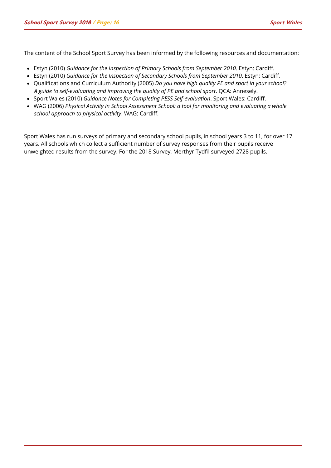The content of the School Sport Survey has been informed by the following resources and documentation:

- Estyn (2010) *Guidance for the Inspection of Primary Schools from September 2010*. Estyn: Cardiff.
- Estyn (2010) *Guidance for the Inspection of Secondary Schools from September 2010*. Estyn: Cardiff.
- Qualifications and Curriculum Authority (2005) *Do you have high quality PE and sport in your school? A guide to self-evaluating and improving the quality of PE and school sport*. QCA: Annesely.
- Sport Wales (2010) *Guidance Notes for Completing PESS Self-evaluation*. Sport Wales: Cardiff.
- WAG (2006) *Physical Activity in School Assessment School: a tool for monitoring and evaluating a whole school approach to physical activity*. WAG: Cardiff.

Sport Wales has run surveys of primary and secondary school pupils, in school years 3 to 11, for over 17 years. All schools which collect a sufficient number of survey responses from their pupils receive unweighted results from the survey. For the 2018 Survey, Merthyr Tydfil surveyed 2728 pupils.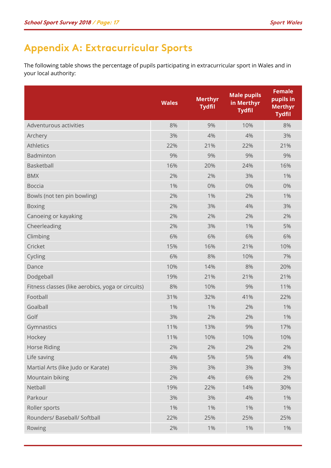# **Appendix A: Extracurricular Sports**

The following table shows the percentage of pupils participating in extracurricular sport in Wales and in your local authority:

|                                                   | <b>Wales</b> | <b>Merthyr</b><br><b>Tydfil</b> | <b>Male pupils</b><br>in Merthyr<br><b>Tydfil</b> | <b>Female</b><br>pupils in<br><b>Merthyr</b><br><b>Tydfil</b> |
|---------------------------------------------------|--------------|---------------------------------|---------------------------------------------------|---------------------------------------------------------------|
| Adventurous activities                            | 8%           | 9%                              | 10%                                               | 8%                                                            |
| Archery                                           | 3%           | 4%                              | 4%                                                | 3%                                                            |
| <b>Athletics</b>                                  | 22%          | 21%                             | 22%                                               | 21%                                                           |
| Badminton                                         | 9%           | 9%                              | 9%                                                | 9%                                                            |
| Basketball                                        | 16%          | 20%                             | 24%                                               | 16%                                                           |
| <b>BMX</b>                                        | 2%           | 2%                              | 3%                                                | 1%                                                            |
| <b>Boccia</b>                                     | 1%           | 0%                              | 0%                                                | 0%                                                            |
| Bowls (not ten pin bowling)                       | 2%           | 1%                              | 2%                                                | 1%                                                            |
| <b>Boxing</b>                                     | 2%           | 3%                              | 4%                                                | 3%                                                            |
| Canoeing or kayaking                              | 2%           | 2%                              | 2%                                                | 2%                                                            |
| Cheerleading                                      | 2%           | 3%                              | 1%                                                | 5%                                                            |
| Climbing                                          | 6%           | 6%                              | 6%                                                | 6%                                                            |
| Cricket                                           | 15%          | 16%                             | 21%                                               | 10%                                                           |
| Cycling                                           | 6%           | 8%                              | 10%                                               | 7%                                                            |
| Dance                                             | 10%          | 14%                             | 8%                                                | 20%                                                           |
| Dodgeball                                         | 19%          | 21%                             | 21%                                               | 21%                                                           |
| Fitness classes (like aerobics, yoga or circuits) | 8%           | 10%                             | 9%                                                | 11%                                                           |
| Football                                          | 31%          | 32%                             | 41%                                               | 22%                                                           |
| Goalball                                          | 1%           | 1%                              | 2%                                                | 1%                                                            |
| Golf                                              | 3%           | 2%                              | 2%                                                | 1%                                                            |
| Gymnastics                                        | 11%          | 13%                             | 9%                                                | 17%                                                           |
| Hockey                                            | 11%          | 10%                             | 10%                                               | 10%                                                           |
| <b>Horse Riding</b>                               | 2%           | 2%                              | 2%                                                | 2%                                                            |
| Life saving                                       | 4%           | 5%                              | 5%                                                | 4%                                                            |
| Martial Arts (like Judo or Karate)                | 3%           | 3%                              | 3%                                                | 3%                                                            |
| Mountain biking                                   | 2%           | 4%                              | 6%                                                | 2%                                                            |
| Netball                                           | 19%          | 22%                             | 14%                                               | 30%                                                           |
| Parkour                                           | 3%           | 3%                              | 4%                                                | $1\%$                                                         |
| Roller sports                                     | $1\%$        | 1%                              | 1%                                                | $1\%$                                                         |
| Rounders/ Baseball/ Softball                      | 22%          | 25%                             | 25%                                               | 25%                                                           |
| Rowing                                            | 2%           | $1\%$                           | $1\%$                                             | $1\%$                                                         |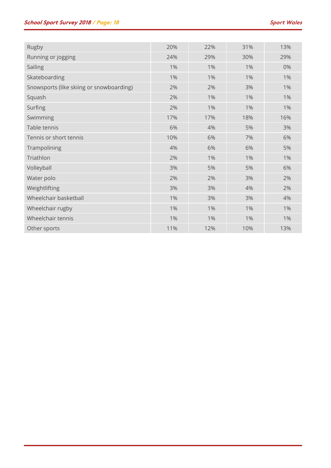| Rugby                                    | 20%   | 22%   | 31%   | 13% |
|------------------------------------------|-------|-------|-------|-----|
| Running or jogging                       | 24%   | 29%   | 30%   | 29% |
| Sailing                                  | 1%    | 1%    | 1%    | 0%  |
| Skateboarding                            | 1%    | 1%    | $1\%$ | 1%  |
| Snowsports (like skiing or snowboarding) | 2%    | 2%    | 3%    | 1%  |
| Squash                                   | 2%    | 1%    | 1%    | 1%  |
| Surfing                                  | 2%    | 1%    | $1\%$ | 1%  |
| Swimming                                 | 17%   | 17%   | 18%   | 16% |
| Table tennis                             | 6%    | 4%    | 5%    | 3%  |
| Tennis or short tennis                   | 10%   | 6%    | 7%    | 6%  |
| Trampolining                             | 4%    | 6%    | 6%    | 5%  |
| Triathlon                                | 2%    | 1%    | $1\%$ | 1%  |
| Volleyball                               | 3%    | 5%    | 5%    | 6%  |
| Water polo                               | 2%    | 2%    | 3%    | 2%  |
| Weightlifting                            | 3%    | 3%    | 4%    | 2%  |
| Wheelchair basketball                    | $1\%$ | 3%    | 3%    | 4%  |
| Wheelchair rugby                         | $1\%$ | $1\%$ | 1%    | 1%  |
| Wheelchair tennis                        | $1\%$ | 1%    | $1\%$ | 1%  |
| Other sports                             | 11%   | 12%   | 10%   | 13% |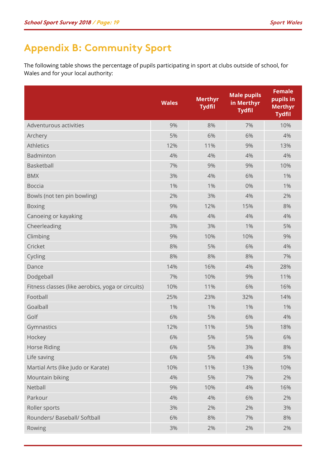# **Appendix B: Community Sport**

The following table shows the percentage of pupils participating in sport at clubs outside of school, for Wales and for your local authority:

|                                                   | <b>Wales</b> | <b>Merthyr</b><br><b>Tydfil</b> | <b>Male pupils</b><br>in Merthyr<br><b>Tydfil</b> | <b>Female</b><br>pupils in<br><b>Merthyr</b><br><b>Tydfil</b> |
|---------------------------------------------------|--------------|---------------------------------|---------------------------------------------------|---------------------------------------------------------------|
| Adventurous activities                            | 9%           | 8%                              | 7%                                                | 10%                                                           |
| Archery                                           | 5%           | 6%                              | 6%                                                | 4%                                                            |
| <b>Athletics</b>                                  | 12%          | 11%                             | 9%                                                | 13%                                                           |
| Badminton                                         | 4%           | 4%                              | 4%                                                | 4%                                                            |
| Basketball                                        | 7%           | 9%                              | 9%                                                | 10%                                                           |
| <b>BMX</b>                                        | 3%           | 4%                              | 6%                                                | 1%                                                            |
| <b>Boccia</b>                                     | 1%           | 1%                              | 0%                                                | 1%                                                            |
| Bowls (not ten pin bowling)                       | 2%           | 3%                              | 4%                                                | 2%                                                            |
| <b>Boxing</b>                                     | 9%           | 12%                             | 15%                                               | 8%                                                            |
| Canoeing or kayaking                              | 4%           | 4%                              | 4%                                                | 4%                                                            |
| Cheerleading                                      | 3%           | 3%                              | 1%                                                | 5%                                                            |
| Climbing                                          | 9%           | 10%                             | 10%                                               | 9%                                                            |
| Cricket                                           | 8%           | 5%                              | 6%                                                | 4%                                                            |
| Cycling                                           | 8%           | 8%                              | 8%                                                | 7%                                                            |
| Dance                                             | 14%          | 16%                             | 4%                                                | 28%                                                           |
| Dodgeball                                         | 7%           | 10%                             | 9%                                                | 11%                                                           |
| Fitness classes (like aerobics, yoga or circuits) | 10%          | 11%                             | 6%                                                | 16%                                                           |
| Football                                          | 25%          | 23%                             | 32%                                               | 14%                                                           |
| Goalball                                          | 1%           | 1%                              | 1%                                                | 1%                                                            |
| Golf                                              | 6%           | 5%                              | 6%                                                | 4%                                                            |
| Gymnastics                                        | 12%          | 11%                             | 5%                                                | 18%                                                           |
| Hockey                                            | 6%           | 5%                              | 5%                                                | 6%                                                            |
| <b>Horse Riding</b>                               | 6%           | 5%                              | 3%                                                | 8%                                                            |
| Life saving                                       | 6%           | 5%                              | 4%                                                | 5%                                                            |
| Martial Arts (like Judo or Karate)                | 10%          | 11%                             | 13%                                               | 10%                                                           |
| Mountain biking                                   | 4%           | 5%                              | 7%                                                | 2%                                                            |
| Netball                                           | 9%           | 10%                             | 4%                                                | 16%                                                           |
| Parkour                                           | 4%           | 4%                              | 6%                                                | 2%                                                            |
| Roller sports                                     | 3%           | 2%                              | 2%                                                | 3%                                                            |
| Rounders/ Baseball/ Softball                      | 6%           | 8%                              | 7%                                                | 8%                                                            |
| Rowing                                            | 3%           | 2%                              | 2%                                                | 2%                                                            |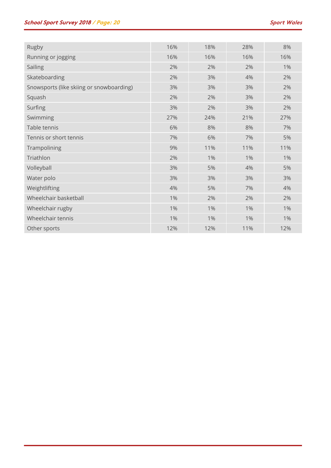| Rugby                                    | 16% | 18%   | 28% | 8%  |
|------------------------------------------|-----|-------|-----|-----|
| Running or jogging                       | 16% | 16%   | 16% | 16% |
| Sailing                                  | 2%  | 2%    | 2%  | 1%  |
| Skateboarding                            | 2%  | 3%    | 4%  | 2%  |
| Snowsports (like skiing or snowboarding) | 3%  | 3%    | 3%  | 2%  |
| Squash                                   | 2%  | 2%    | 3%  | 2%  |
| Surfing                                  | 3%  | 2%    | 3%  | 2%  |
| Swimming                                 | 27% | 24%   | 21% | 27% |
| Table tennis                             | 6%  | 8%    | 8%  | 7%  |
| Tennis or short tennis                   | 7%  | 6%    | 7%  | 5%  |
| Trampolining                             | 9%  | 11%   | 11% | 11% |
| Triathlon                                | 2%  | $1\%$ | 1%  | 1%  |
| Volleyball                               | 3%  | 5%    | 4%  | 5%  |
| Water polo                               | 3%  | 3%    | 3%  | 3%  |
| Weightlifting                            | 4%  | 5%    | 7%  | 4%  |
| Wheelchair basketball                    | 1%  | 2%    | 2%  | 2%  |
| Wheelchair rugby                         | 1%  | 1%    | 1%  | 1%  |
| Wheelchair tennis                        | 1%  | 1%    | 1%  | 1%  |
| Other sports                             | 12% | 12%   | 11% | 12% |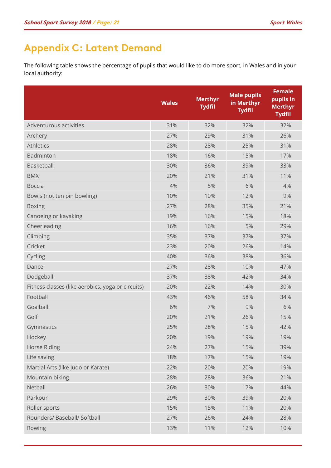# **Appendix C: Latent Demand**

The following table shows the percentage of pupils that would like to do more sport, in Wales and in your local authority:

|                                                   | <b>Wales</b> | <b>Merthyr</b><br><b>Tydfil</b> | <b>Male pupils</b><br>in Merthyr<br><b>Tydfil</b> | <b>Female</b><br>pupils in<br><b>Merthyr</b><br><b>Tydfil</b> |
|---------------------------------------------------|--------------|---------------------------------|---------------------------------------------------|---------------------------------------------------------------|
| Adventurous activities                            | 31%          | 32%                             | 32%                                               | 32%                                                           |
| Archery                                           | 27%          | 29%                             | 31%                                               | 26%                                                           |
| <b>Athletics</b>                                  | 28%          | 28%                             | 25%                                               | 31%                                                           |
| Badminton                                         | 18%          | 16%                             | 15%                                               | 17%                                                           |
| Basketball                                        | 30%          | 36%                             | 39%                                               | 33%                                                           |
| <b>BMX</b>                                        | 20%          | 21%                             | 31%                                               | 11%                                                           |
| <b>Boccia</b>                                     | 4%           | 5%                              | 6%                                                | 4%                                                            |
| Bowls (not ten pin bowling)                       | 10%          | 10%                             | 12%                                               | 9%                                                            |
| <b>Boxing</b>                                     | 27%          | 28%                             | 35%                                               | 21%                                                           |
| Canoeing or kayaking                              | 19%          | 16%                             | 15%                                               | 18%                                                           |
| Cheerleading                                      | 16%          | 16%                             | 5%                                                | 29%                                                           |
| Climbing                                          | 35%          | 37%                             | 37%                                               | 37%                                                           |
| Cricket                                           | 23%          | 20%                             | 26%                                               | 14%                                                           |
| Cycling                                           | 40%          | 36%                             | 38%                                               | 36%                                                           |
| Dance                                             | 27%          | 28%                             | 10%                                               | 47%                                                           |
| Dodgeball                                         | 37%          | 38%                             | 42%                                               | 34%                                                           |
| Fitness classes (like aerobics, yoga or circuits) | 20%          | 22%                             | 14%                                               | 30%                                                           |
| Football                                          | 43%          | 46%                             | 58%                                               | 34%                                                           |
| Goalball                                          | 6%           | 7%                              | 9%                                                | 6%                                                            |
| Golf                                              | 20%          | 21%                             | 26%                                               | 15%                                                           |
| Gymnastics                                        | 25%          | 28%                             | 15%                                               | 42%                                                           |
| Hockey                                            | 20%          | 19%                             | 19%                                               | 19%                                                           |
| Horse Riding                                      | 24%          | 27%                             | 15%                                               | 39%                                                           |
| Life saving                                       | 18%          | 17%                             | 15%                                               | 19%                                                           |
| Martial Arts (like Judo or Karate)                | 22%          | 20%                             | 20%                                               | 19%                                                           |
| Mountain biking                                   | 28%          | 28%                             | 36%                                               | 21%                                                           |
| Netball                                           | 26%          | 30%                             | 17%                                               | 44%                                                           |
| Parkour                                           | 29%          | 30%                             | 39%                                               | 20%                                                           |
| Roller sports                                     | 15%          | 15%                             | 11%                                               | 20%                                                           |
| Rounders/ Baseball/ Softball                      | 27%          | 26%                             | 24%                                               | 28%                                                           |
| Rowing                                            | 13%          | 11%                             | 12%                                               | 10%                                                           |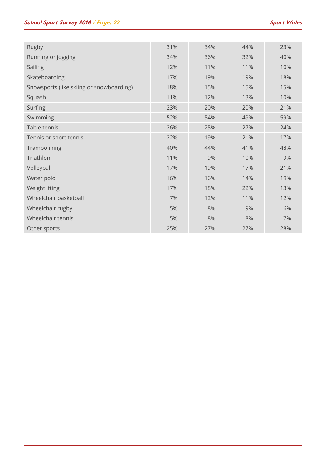| Rugby                                    | 31% | 34% | 44% | 23% |
|------------------------------------------|-----|-----|-----|-----|
| Running or jogging                       | 34% | 36% | 32% | 40% |
| Sailing                                  | 12% | 11% | 11% | 10% |
| Skateboarding                            | 17% | 19% | 19% | 18% |
| Snowsports (like skiing or snowboarding) | 18% | 15% | 15% | 15% |
| Squash                                   | 11% | 12% | 13% | 10% |
| Surfing                                  | 23% | 20% | 20% | 21% |
| Swimming                                 | 52% | 54% | 49% | 59% |
| Table tennis                             | 26% | 25% | 27% | 24% |
| Tennis or short tennis                   | 22% | 19% | 21% | 17% |
| Trampolining                             | 40% | 44% | 41% | 48% |
| Triathlon                                | 11% | 9%  | 10% | 9%  |
| Volleyball                               | 17% | 19% | 17% | 21% |
| Water polo                               | 16% | 16% | 14% | 19% |
| Weightlifting                            | 17% | 18% | 22% | 13% |
| Wheelchair basketball                    | 7%  | 12% | 11% | 12% |
| Wheelchair rugby                         | 5%  | 8%  | 9%  | 6%  |
| Wheelchair tennis                        | 5%  | 8%  | 8%  | 7%  |
| Other sports                             | 25% | 27% | 27% | 28% |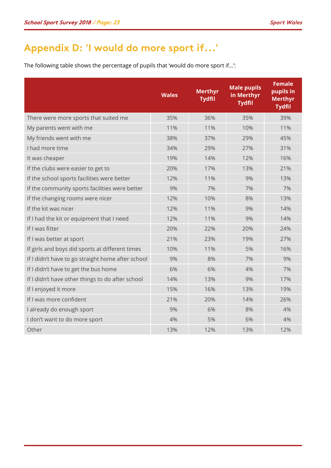# **Appendix D: 'I would do more sport if...'**

The following table shows the percentage of pupils that 'would do more sport if…':

|                                                   | <b>Wales</b> | <b>Merthyr</b><br><b>Tydfil</b> | <b>Male pupils</b><br>in Merthyr<br><b>Tydfil</b> | <b>Female</b><br>pupils in<br><b>Merthyr</b><br><b>Tydfil</b> |
|---------------------------------------------------|--------------|---------------------------------|---------------------------------------------------|---------------------------------------------------------------|
| There were more sports that suited me             | 35%          | 36%                             | 35%                                               | 39%                                                           |
| My parents went with me                           | 11%          | 11%                             | 10%                                               | 11%                                                           |
| My friends went with me                           | 38%          | 37%                             | 29%                                               | 45%                                                           |
| I had more time                                   | 34%          | 29%                             | 27%                                               | 31%                                                           |
| It was cheaper                                    | 19%          | 14%                             | 12%                                               | 16%                                                           |
| If the clubs were easier to get to                | 20%          | 17%                             | 13%                                               | 21%                                                           |
| If the school sports facilities were better       | 12%          | 11%                             | 9%                                                | 13%                                                           |
| If the community sports facilities were better    | 9%           | 7%                              | 7%                                                | 7%                                                            |
| If the changing rooms were nicer                  | 12%          | 10%                             | 8%                                                | 13%                                                           |
| If the kit was nicer                              | 12%          | 11%                             | 9%                                                | 14%                                                           |
| If I had the kit or equipment that I need         | 12%          | 11%                             | 9%                                                | 14%                                                           |
| If I was fitter                                   | 20%          | 22%                             | 20%                                               | 24%                                                           |
| If I was better at sport                          | 21%          | 23%                             | 19%                                               | 27%                                                           |
| If girls and boys did sports at different times   | 10%          | 11%                             | 5%                                                | 16%                                                           |
| If I didn't have to go straight home after school | 9%           | 8%                              | 7%                                                | 9%                                                            |
| If I didn't have to get the bus home              | 6%           | 6%                              | 4%                                                | 7%                                                            |
| If I didn't have other things to do after school  | 14%          | 13%                             | 9%                                                | 17%                                                           |
| If I enjoyed it more                              | 15%          | 16%                             | 13%                                               | 19%                                                           |
| If I was more confident                           | 21%          | 20%                             | 14%                                               | 26%                                                           |
| I already do enough sport                         | 9%           | 6%                              | 8%                                                | 4%                                                            |
| I don't want to do more sport                     | 4%           | 5%                              | 6%                                                | 4%                                                            |
| Other                                             | 13%          | 12%                             | 13%                                               | 12%                                                           |